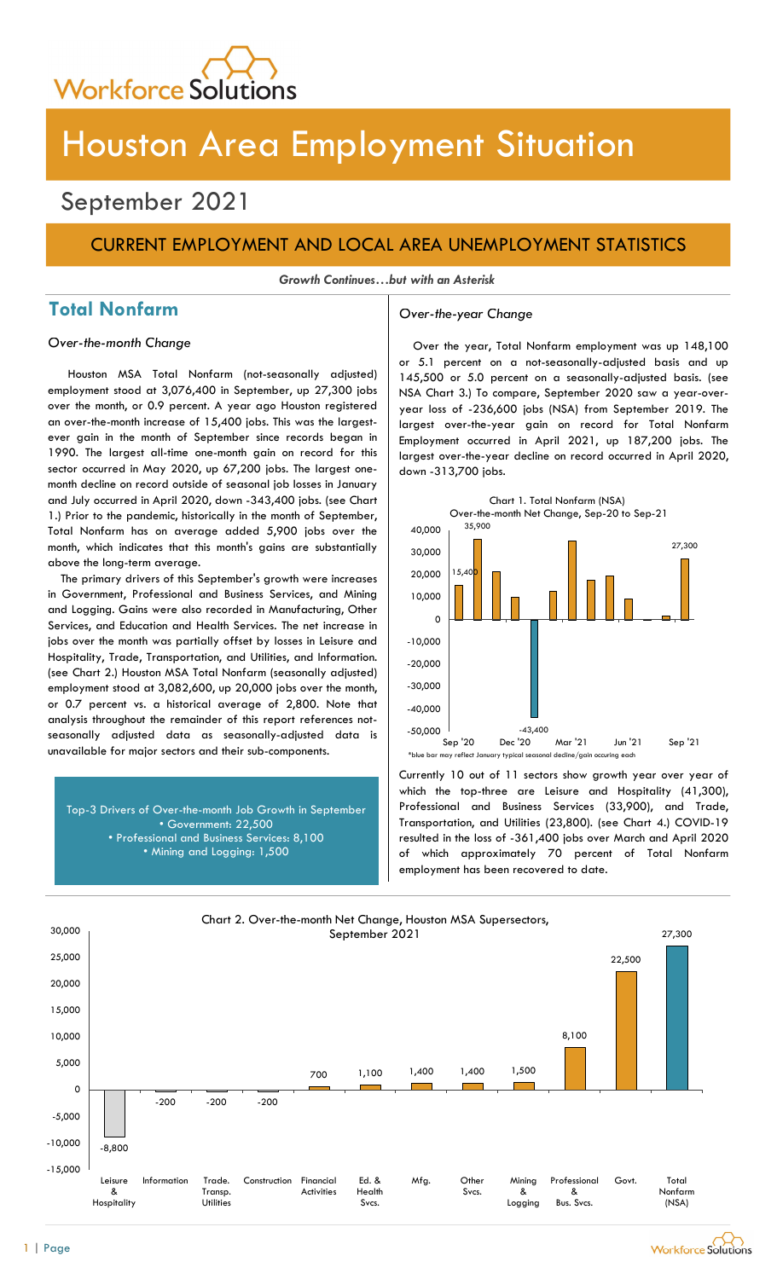

# Houston Area Employment Situation

## September 2021

## CURRENT EMPLOYMENT AND LOCAL AREA UNEMPLOYMENT STATISTICS

Growth Continues…but with an Asterisk

## Total Nonfarm and a settle over-the-year Change

Houston MSA Total Nonfarm (not-seasonally adjusted) employment stood at 3,076,400 in September, up 27,300 jobs over the month, or 0.9 percent. A year ago Houston registered an over-the-month increase of 15,400 jobs. This was the largestever gain in the month of September since records began in 1990. The largest all-time one-month gain on record for this sector occurred in May 2020, up 67,200 jobs. The largest onemonth decline on record outside of seasonal job losses in January and July occurred in April 2020, down -343,400 jobs. (see Chart 1.) Prior to the pandemic, historically in the month of September, Total Nonfarm has on average added 5,900 jobs over the month, which indicates that this month's gains are substantially above the long-term average.

The primary drivers of this September's growth were increases in Government, Professional and Business Services, and Mining and Logging. Gains were also recorded in Manufacturing, Other Services, and Education and Health Services. The net increase in jobs over the month was partially offset by losses in Leisure and Hospitality, Trade, Transportation, and Utilities, and Information. (see Chart 2.) Houston MSA Total Nonfarm (seasonally adjusted) employment stood at 3,082,600, up 20,000 jobs over the month, or 0.7 percent vs. a historical average of 2,800. Note that analysis throughout the remainder of this report references notseasonally adjusted data as seasonally-adjusted data is unavailable for major sectors and their sub-components.

Top-3 Drivers of Over-the-month Job Growth in September • Government: 22,500 • Professional and Business Services: 8,100 • Mining and Logging: 1,500

Over-the-month Change Over the year, Total Nonfarm employment was up 148,100 or 5.1 percent on a not-seasonally-adjusted basis and up 145,500 or 5.0 percent on a seasonally-adjusted basis. (see NSA Chart 3.) To compare, September 2020 saw a year-overyear loss of -236,600 jobs (NSA) from September 2019. The largest over-the-year gain on record for Total Nonfarm Employment occurred in April 2021, up 187,200 jobs. The largest over-the-year decline on record occurred in April 2020, down -313,700 jobs.



Currently 10 out of 11 sectors show growth year over year of which the top-three are Leisure and Hospitality (41,300), Professional and Business Services (33,900), and Trade, Transportation, and Utilities (23,800). (see Chart 4.) COVID-19 resulted in the loss of -361,400 jobs over March and April 2020 of which approximately 70 percent of Total Nonfarm employment has been recovered to date.



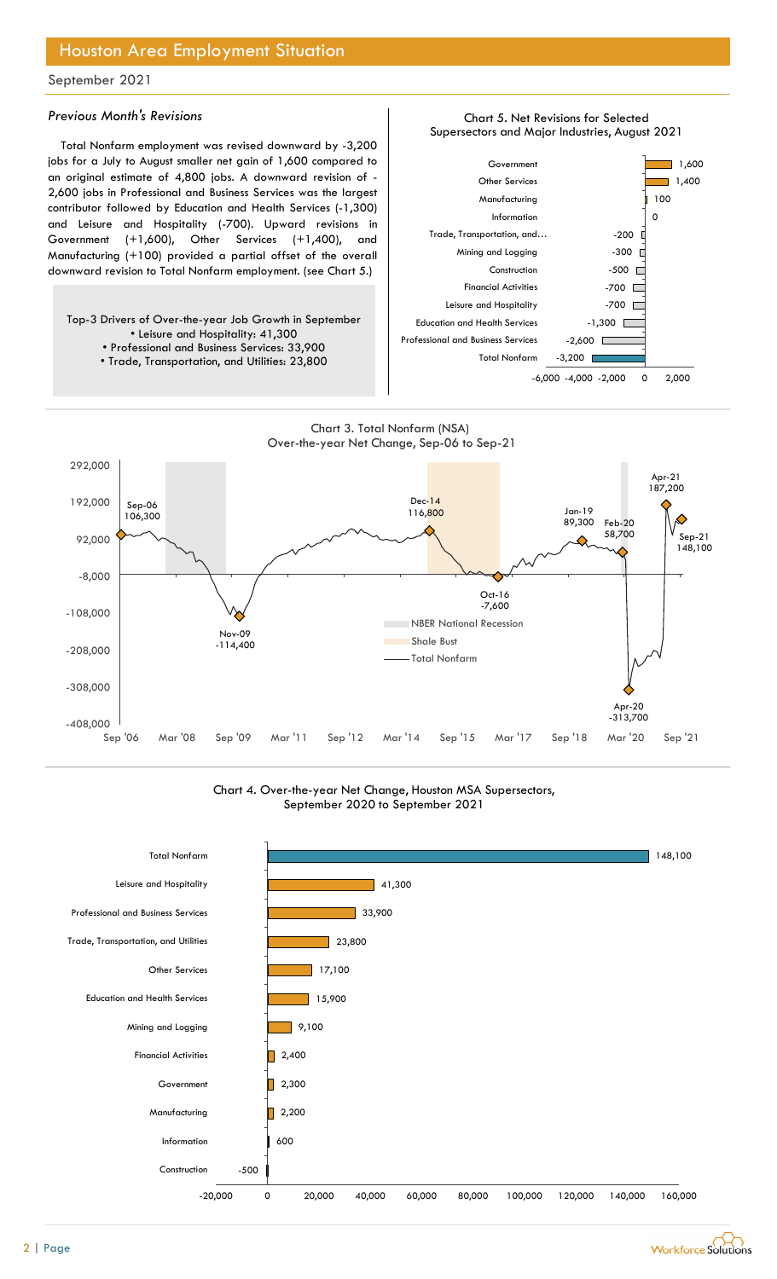## Houston Area Employment Situation

## September 2021

### Previous Month's Revisions

Total Nonfarm employment was revised downward by -3,200 jobs for a July to August smaller net gain of 1,600 compared to an original estimate of 4,800 jobs. A downward revision of - 2,600 jobs in Professional and Business Services was the largest contributor followed by Education and Health Services (-1,300) and Leisure and Hospitality (-700). Upward revisions in Government (+1,600), Other Services (+1,400), and Manufacturing (+100) provided a partial offset of the overall downward revision to Total Nonfarm employment. (see Chart 5.)

Top-3 Drivers of Over-the-year Job Growth in September • Leisure and Hospitality: 41,300 • Professional and Business Services: 33,900 • Trade, Transportation, and Utilities: 23,800



Chart 5. Net Revisions for Selected



### Chart 4. Over-the-year Net Change, Houston MSA Supersectors, September 2020 to September 2021



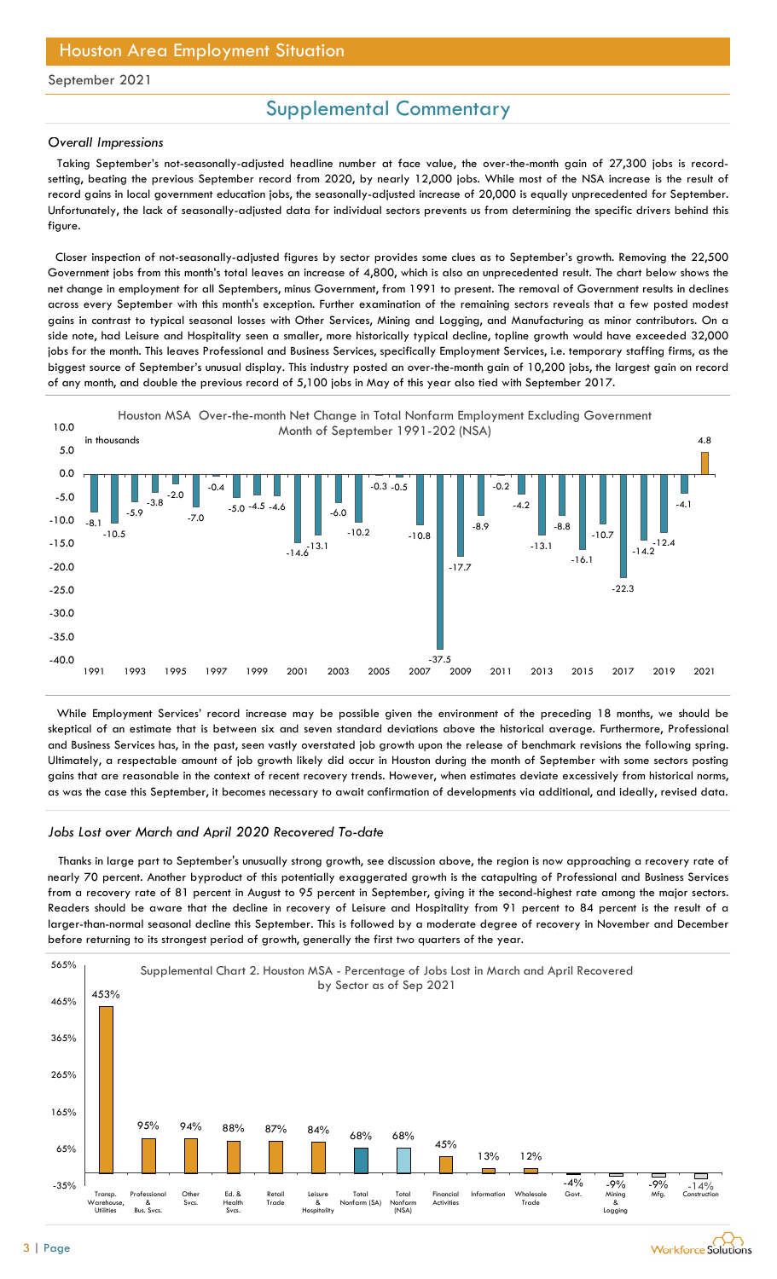## Houston Area Employment Situation

### September 2021

## Supplemental Commentary

#### Overall Impressions

Taking September's not-seasonally-adjusted headline number at face value, the over-the-month gain of 27,300 jobs is recordsetting, beating the previous September record from 2020, by nearly 12,000 jobs. While most of the NSA increase is the result of record gains in local government education jobs, the seasonally-adjusted increase of 20,000 is equally unprecedented for September. Unfortunately, the lack of seasonally-adjusted data for individual sectors prevents us from determining the specific drivers behind this figure.

Closer inspection of not-seasonally-adjusted figures by sector provides some clues as to September's growth. Removing the 22,500 Government jobs from this month's total leaves an increase of 4,800, which is also an unprecedented result. The chart below shows the net change in employment for all Septembers, minus Government, from 1991 to present. The removal of Government results in declines across every September with this month's exception. Further examination of the remaining sectors reveals that a few posted modest gains in contrast to typical seasonal losses with Other Services, Mining and Logging, and Manufacturing as minor contributors. On a side note, had Leisure and Hospitality seen a smaller, more historically typical decline, topline growth would have exceeded 32,000 jobs for the month. This leaves Professional and Business Services, specifically Employment Services, i.e. temporary staffing firms, as the biggest source of September's unusual display. This industry posted an over-the-month gain of 10,200 jobs, the largest gain on record of any month, and double the previous record of 5,100 jobs in May of this year also tied with September 2017.



While Employment Services' record increase may be possible given the environment of the preceding 18 months, we should be skeptical of an estimate that is between six and seven standard deviations above the historical average. Furthermore, Professional and Business Services has, in the past, seen vastly overstated job growth upon the release of benchmark revisions the following spring. Ultimately, a respectable amount of job growth likely did occur in Houston during the month of September with some sectors posting gains that are reasonable in the context of recent recovery trends. However, when estimates deviate excessively from historical norms, as was the case this September, it becomes necessary to await confirmation of developments via additional, and ideally, revised data.

#### Jobs Lost over March and April 2020 Recovered To-date

Thanks in large part to September's unusually strong growth, see discussion above, the region is now approaching a recovery rate of nearly 70 percent. Another byproduct of this potentially exaggerated growth is the catapulting of Professional and Business Services from a recovery rate of 81 percent in August to 95 percent in September, giving it the second-highest rate among the major sectors. Readers should be aware that the decline in recovery of Leisure and Hospitality from 91 percent to 84 percent is the result of a larger-than-normal seasonal decline this September. This is followed by a moderate degree of recovery in November and December before returning to its strongest period of growth, generally the first two quarters of the year.

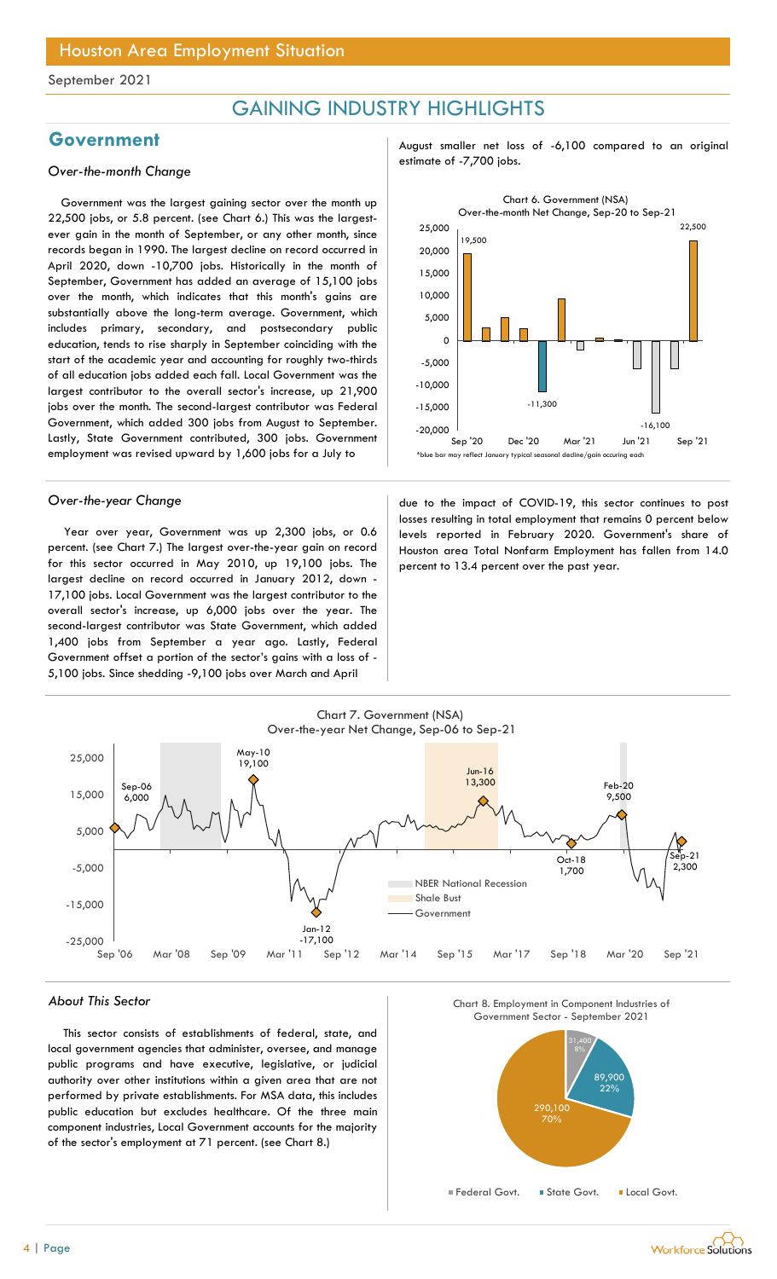## GAINING INDUSTRY HIGHLIGHTS

Government was the largest gaining sector over the month up 22,500 jobs, or 5.8 percent. (see Chart 6.) This was the largestever gain in the month of September, or any other month, since records began in 1990. The largest decline on record occurred in April 2020, down -10,700 jobs. Historically in the month of September, Government has added an average of 15,100 jobs over the month, which indicates that this month's gains are substantially above the long-term average. Government, which includes primary, secondary, and postsecondary public education, tends to rise sharply in September coinciding with the start of the academic year and accounting for roughly two-thirds of all education jobs added each fall. Local Government was the largest contributor to the overall sector's increase, up 21,900 jobs over the month. The second-largest contributor was Federal Government, which added 300 jobs from August to September. Lastly, State Government contributed, 300 jobs. Government employment was revised upward by 1,600 jobs for a July to

Year over year, Government was up 2,300 jobs, or 0.6 percent. (see Chart 7.) The largest over-the-year gain on record for this sector occurred in May 2010, up 19,100 jobs. The largest decline on record occurred in January 2012, down - 17,100 jobs. Local Government was the largest contributor to the overall sector's increase, up 6,000 jobs over the year. The second-largest contributor was State Government, which added 1,400 jobs from September a year ago. Lastly, Federal Government offset a portion of the sector's gains with a loss of - 5,100 jobs. Since shedding -9,100 jobs over March and April

Government **August Shares August Structure Covernment** August smaller net loss of -6,100 compared to an original estimate of -7,700 jobs. Over-the-month Change



Over-the-year Change and the impact of COVID-19, this sector continues to post losses resulting in total employment that remains 0 percent below levels reported in February 2020. Government's share of Houston area Total Nonfarm Employment has fallen from 14.0 percent to 13.4 percent over the past year.



### About This Sector

This sector consists of establishments of federal, state, and local government agencies that administer, oversee, and manage public programs and have executive, legislative, or judicial authority over other institutions within a given area that are not performed by private establishments. For MSA data, this includes public education but excludes healthcare. Of the three main component industries, Local Government accounts for the majority of the sector's employment at 71 percent. (see Chart 8.)





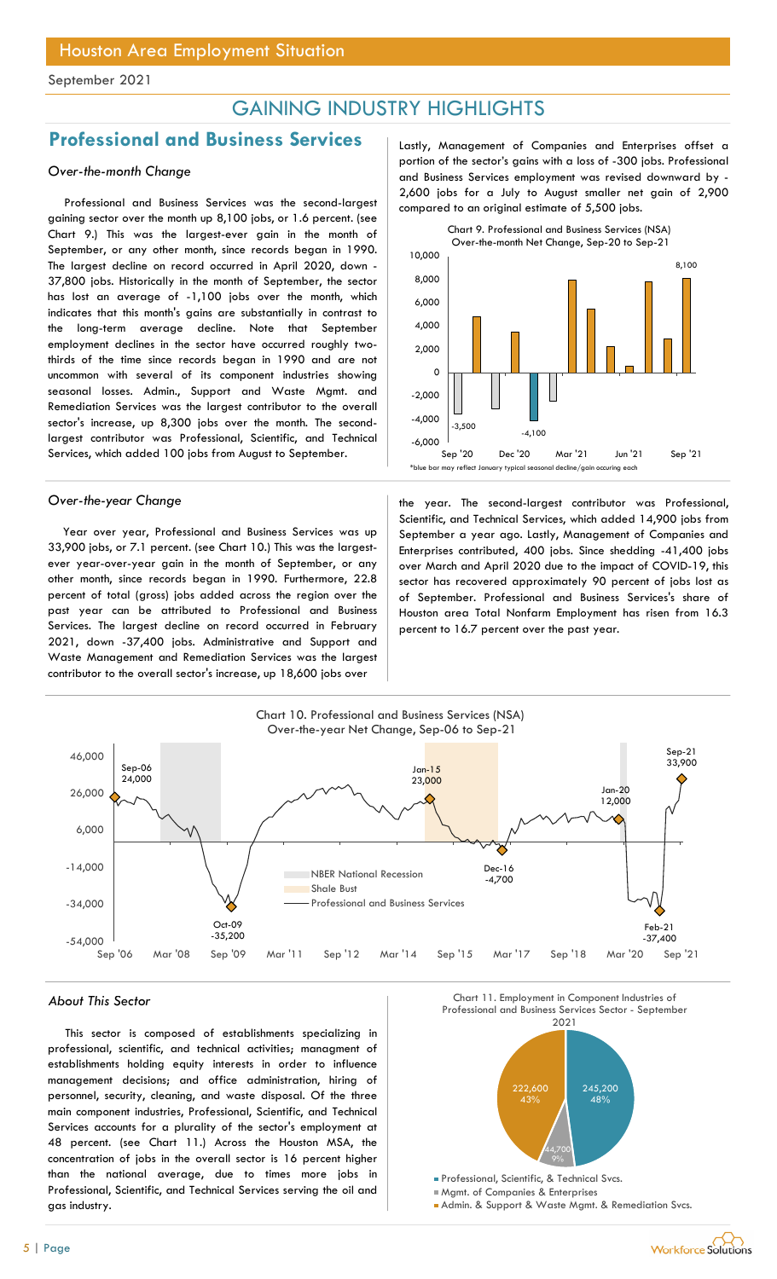## GAINING INDUSTRY HIGHLIGHTS

## Professional and Business Services | Lastly, Management of Companies and Enterprises offset a

### Over-the-month Change

Professional and Business Services was the second-largest gaining sector over the month up 8,100 jobs, or 1.6 percent. (see Chart 9.) This was the largest-ever gain in the month of September, or any other month, since records began in 1990. The largest decline on record occurred in April 2020, down - 37,800 jobs. Historically in the month of September, the sector has lost an average of -1,100 jobs over the month, which indicates that this month's gains are substantially in contrast to the long-term average decline. Note that September employment declines in the sector have occurred roughly twothirds of the time since records began in 1990 and are not uncommon with several of its component industries showing seasonal losses. Admin., Support and Waste Mgmt. and Remediation Services was the largest contributor to the overall sector's increase, up 8,300 jobs over the month. The secondlargest contributor was Professional, Scientific, and Technical Services, which added 100 jobs from August to September.

Year over year, Professional and Business Services was up 33,900 jobs, or 7.1 percent. (see Chart 10.) This was the largestever year-over-year gain in the month of September, or any other month, since records began in 1990. Furthermore, 22.8 percent of total (gross) jobs added across the region over the past year can be attributed to Professional and Business Services. The largest decline on record occurred in February 2021, down -37,400 jobs. Administrative and Support and Waste Management and Remediation Services was the largest contributor to the overall sector's increase, up 18,600 jobs over

portion of the sector's gains with a loss of -300 jobs. Professional and Business Services employment was revised downward by - 2,600 jobs for a July to August smaller net gain of 2,900 compared to an original estimate of 5,500 jobs.



Over-the-year Change the year. The second-largest contributor was Professional, Scientific, and Technical Services, which added 14,900 jobs from September a year ago. Lastly, Management of Companies and Enterprises contributed, 400 jobs. Since shedding -41,400 jobs over March and April 2020 due to the impact of COVID-19, this sector has recovered approximately 90 percent of jobs lost as of September. Professional and Business Services's share of Houston area Total Nonfarm Employment has risen from 16.3 percent to 16.7 percent over the past year.



This sector is composed of establishments specializing in professional, scientific, and technical activities; managment of establishments holding equity interests in order to influence management decisions; and office administration, hiring of personnel, security, cleaning, and waste disposal. Of the three main component industries, Professional, Scientific, and Technical Services accounts for a plurality of the sector's employment at 48 percent. (see Chart 11.) Across the Houston MSA, the concentration of jobs in the overall sector is 16 percent higher than the national average, due to times more jobs in Professional, Scientific, and Technical Services serving the oil and gas industry.





Mgmt. of Companies & Enterprises

Admin. & Support & Waste Mgmt. & Remediation Svcs.

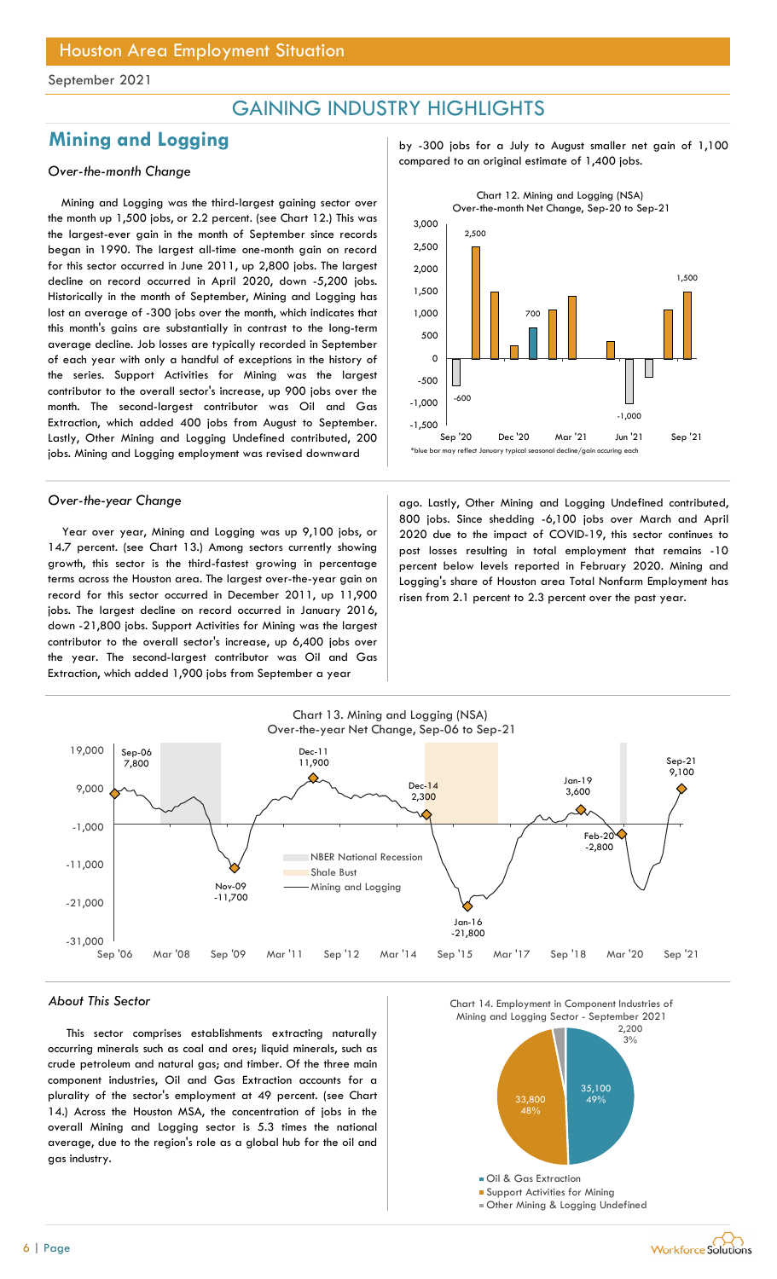## GAINING INDUSTRY HIGHLIGHTS

Mining and Logging was the third-largest gaining sector over the month up 1,500 jobs, or 2.2 percent. (see Chart 12.) This was the largest-ever gain in the month of September since records began in 1990. The largest all-time one-month gain on record for this sector occurred in June 2011, up 2,800 jobs. The largest decline on record occurred in April 2020, down -5,200 jobs. Historically in the month of September, Mining and Logging has lost an average of -300 jobs over the month, which indicates that this month's gains are substantially in contrast to the long-term average decline. Job losses are typically recorded in September of each year with only a handful of exceptions in the history of the series. Support Activities for Mining was the largest contributor to the overall sector's increase, up 900 jobs over the month. The second-largest contributor was Oil and Gas Extraction, which added 400 jobs from August to September. Lastly, Other Mining and Logging Undefined contributed, 200 jobs. Mining and Logging employment was revised downward

Year over year, Mining and Logging was up 9,100 jobs, or 14.7 percent. (see Chart 13.) Among sectors currently showing growth, this sector is the third-fastest growing in percentage terms across the Houston area. The largest over-the-year gain on record for this sector occurred in December 2011, up 11,900 jobs. The largest decline on record occurred in January 2016, down -21,800 jobs. Support Activities for Mining was the largest contributor to the overall sector's increase, up 6,400 jobs over the year. The second-largest contributor was Oil and Gas Extraction, which added 1,900 jobs from September a year

Mining and Logging by -300 jobs for a July to August smaller net gain of 1,100 compared to an original estimate of 1,400 jobs. Over-the-month Change



Over-the-year Change and ago. Lastly, Other Mining and Logging Undefined contributed, 800 jobs. Since shedding -6,100 jobs over March and April 2020 due to the impact of COVID-19, this sector continues to post losses resulting in total employment that remains -10 percent below levels reported in February 2020. Mining and Logging's share of Houston area Total Nonfarm Employment has risen from 2.1 percent to 2.3 percent over the past year.



#### About This Sector

This sector comprises establishments extracting naturally occurring minerals such as coal and ores; liquid minerals, such as crude petroleum and natural gas; and timber. Of the three main component industries, Oil and Gas Extraction accounts for a plurality of the sector's employment at 49 percent. (see Chart 14.) Across the Houston MSA, the concentration of jobs in the overall Mining and Logging sector is 5.3 times the national average, due to the region's role as a global hub for the oil and gas industry.

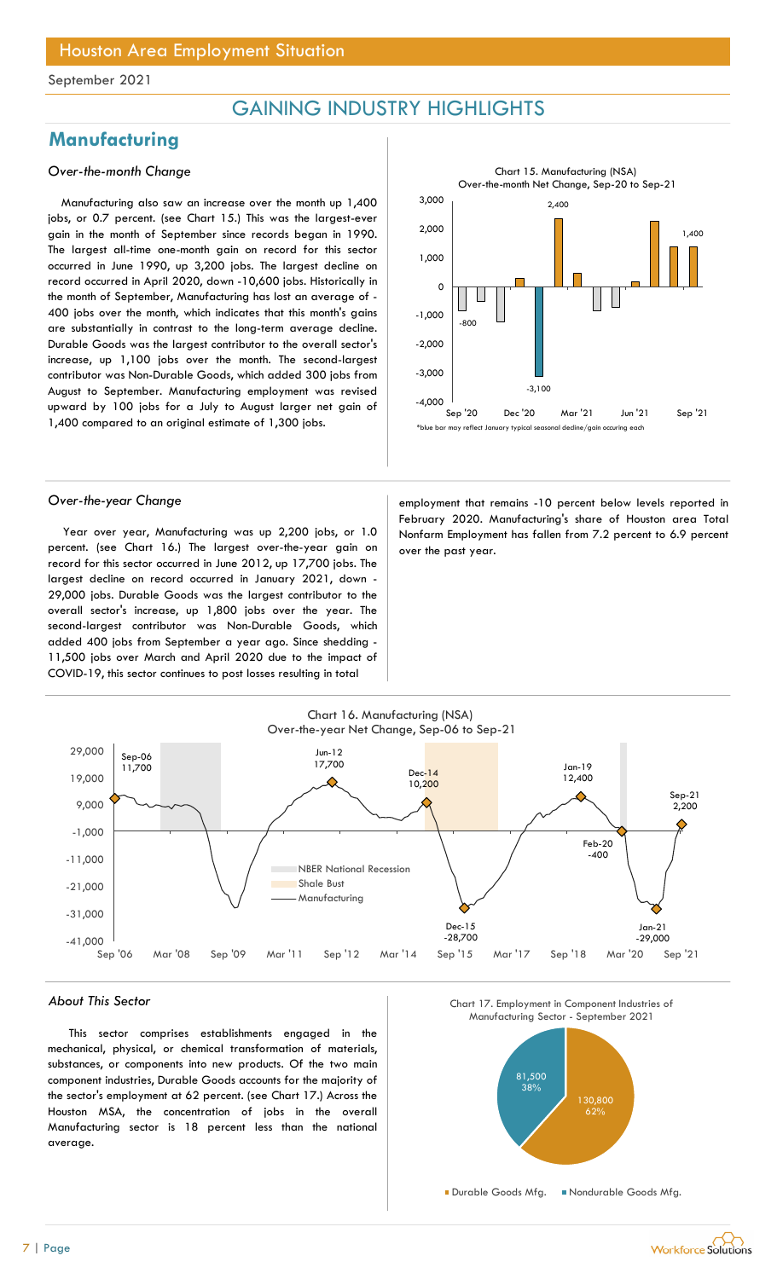## GAINING INDUSTRY HIGHLIGHTS

## **Manufacturing**

## Over-the-month Change

Manufacturing also saw an increase over the month up 1,400 jobs, or 0.7 percent. (see Chart 15.) This was the largest-ever gain in the month of September since records began in 1990. The largest all-time one-month gain on record for this sector occurred in June 1990, up 3,200 jobs. The largest decline on record occurred in April 2020, down -10,600 jobs. Historically in the month of September, Manufacturing has lost an average of - 400 jobs over the month, which indicates that this month's gains are substantially in contrast to the long-term average decline. Durable Goods was the largest contributor to the overall sector's increase, up 1,100 jobs over the month. The second-largest contributor was Non-Durable Goods, which added 300 jobs from August to September. Manufacturing employment was revised upward by 100 jobs for a July to August larger net gain of 1,400 compared to an original estimate of 1,300 jobs.



Year over year, Manufacturing was up 2,200 jobs, or 1.0 percent. (see Chart 16.) The largest over-the-year gain on record for this sector occurred in June 2012, up 17,700 jobs. The largest decline on record occurred in January 2021, down - 29,000 jobs. Durable Goods was the largest contributor to the overall sector's increase, up 1,800 jobs over the year. The second-largest contributor was Non-Durable Goods, which added 400 jobs from September a year ago. Since shedding - 11,500 jobs over March and April 2020 due to the impact of COVID-19, this sector continues to post losses resulting in total

Over-the-year Change employment that remains -10 percent below levels reported in February 2020. Manufacturing's share of Houston area Total Nonfarm Employment has fallen from 7.2 percent to 6.9 percent over the past year.



#### About This Sector

This sector comprises establishments engaged in the mechanical, physical, or chemical transformation of materials, substances, or components into new products. Of the two main component industries, Durable Goods accounts for the majority of the sector's employment at 62 percent. (see Chart 17.) Across the Houston MSA, the concentration of jobs in the overall Manufacturing sector is 18 percent less than the national average.





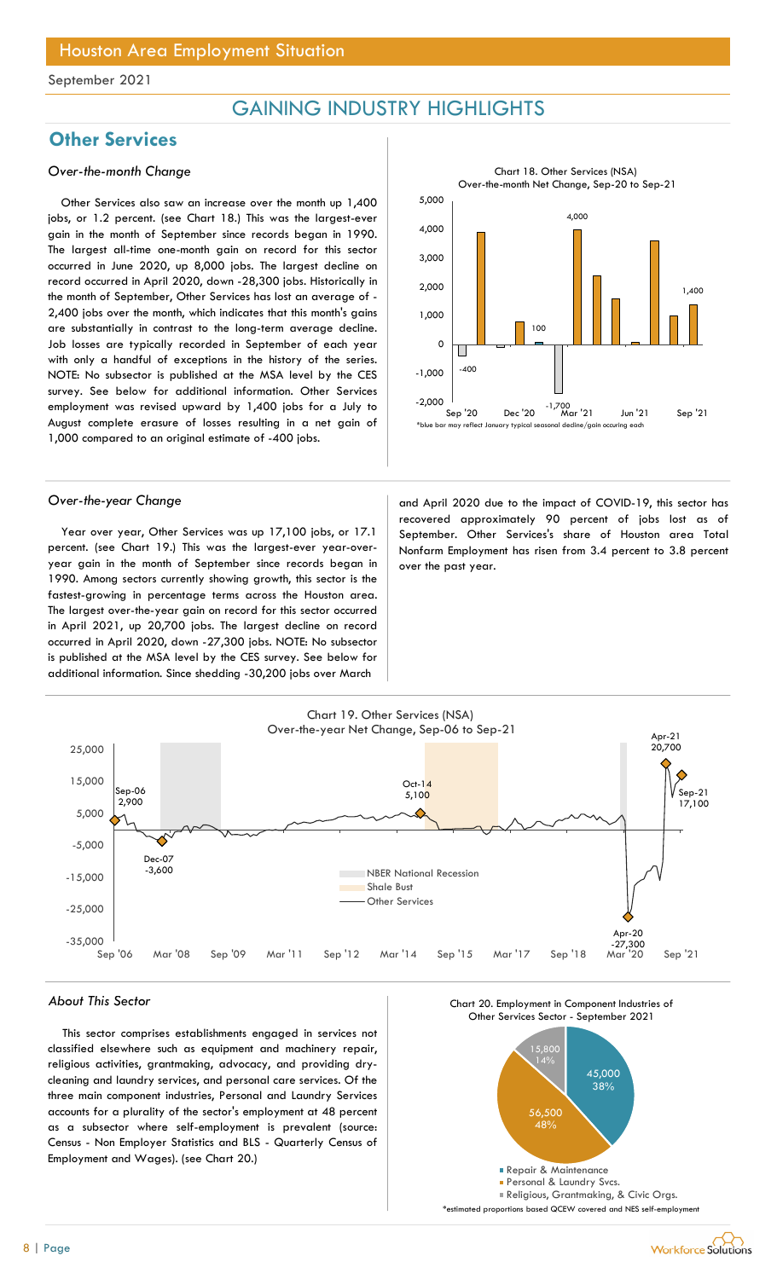## GAINING INDUSTRY HIGHLIGHTS

## **Other Services**

### Over-the-month Change

Other Services also saw an increase over the month up 1,400 jobs, or 1.2 percent. (see Chart 18.) This was the largest-ever gain in the month of September since records began in 1990. The largest all-time one-month gain on record for this sector occurred in June 2020, up 8,000 jobs. The largest decline on record occurred in April 2020, down -28,300 jobs. Historically in the month of September, Other Services has lost an average of - 2,400 jobs over the month, which indicates that this month's gains are substantially in contrast to the long-term average decline. Job losses are typically recorded in September of each year with only a handful of exceptions in the history of the series. NOTE: No subsector is published at the MSA level by the CES survey. See below for additional information. Other Services employment was revised upward by 1,400 jobs for a July to August complete erasure of losses resulting in a net gain of 1,000 compared to an original estimate of -400 jobs.

Year over year, Other Services was up 17,100 jobs, or 17.1 percent. (see Chart 19.) This was the largest-ever year-overyear gain in the month of September since records began in 1990. Among sectors currently showing growth, this sector is the fastest-growing in percentage terms across the Houston area. The largest over-the-year gain on record for this sector occurred in April 2021, up 20,700 jobs. The largest decline on record occurred in April 2020, down -27,300 jobs. NOTE: No subsector is published at the MSA level by the CES survey. See below for additional information. Since shedding -30,200 jobs over March



Over-the-year Change and April 2020 due to the impact of COVID-19, this sector has recovered approximately 90 percent of jobs lost as of September. Other Services's share of Houston area Total Nonfarm Employment has risen from 3.4 percent to 3.8 percent over the past year.



### About This Sector

This sector comprises establishments engaged in services not classified elsewhere such as equipment and machinery repair, religious activities, grantmaking, advocacy, and providing drycleaning and laundry services, and personal care services. Of the three main component industries, Personal and Laundry Services accounts for a plurality of the sector's employment at 48 percent as a subsector where self-employment is prevalent (source: Census - Non Employer Statistics and BLS - Quarterly Census of Employment and Wages). (see Chart 20.)





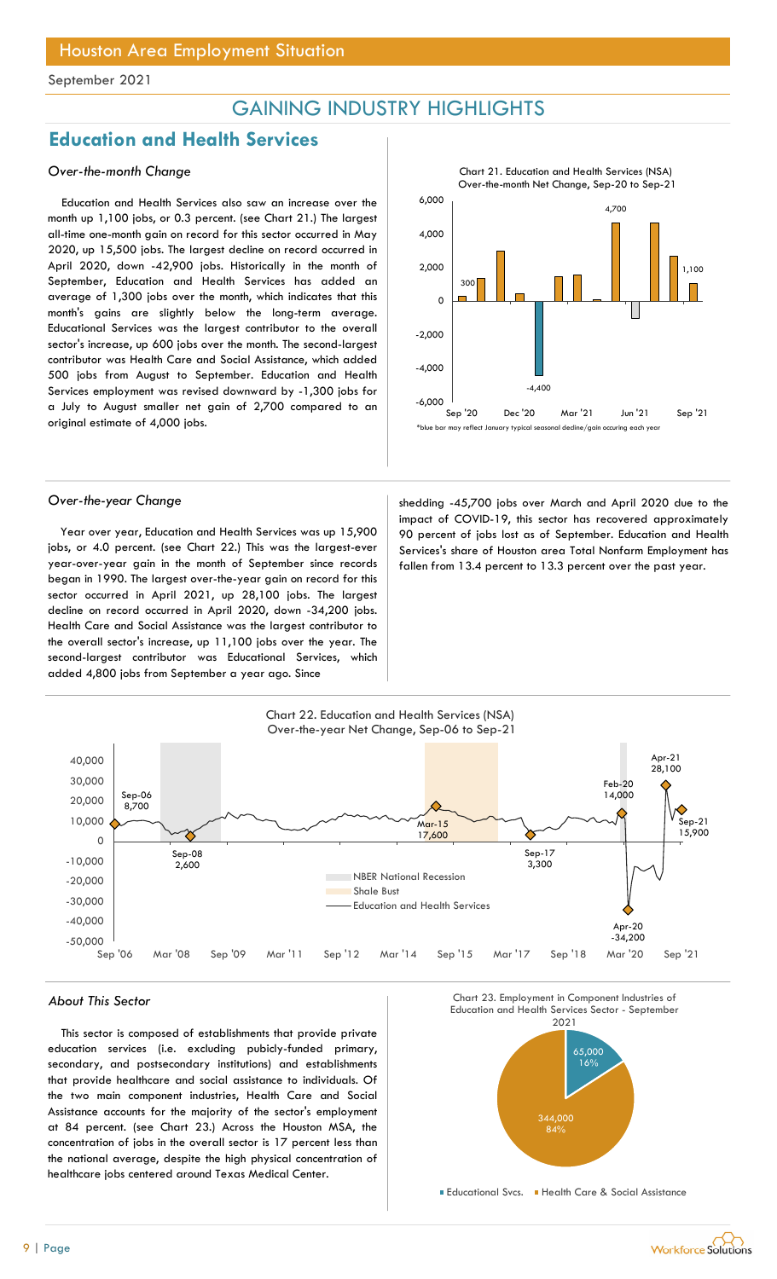## GAINING INDUSTRY HIGHLIGHTS

## Education and Health Services

## Over-the-month Change

Education and Health Services also saw an increase over the month up 1,100 jobs, or 0.3 percent. (see Chart 21.) The largest all-time one-month gain on record for this sector occurred in May 2020, up 15,500 jobs. The largest decline on record occurred in April 2020, down -42,900 jobs. Historically in the month of September, Education and Health Services has added an average of 1,300 jobs over the month, which indicates that this month's gains are slightly below the long-term average. Educational Services was the largest contributor to the overall sector's increase, up 600 jobs over the month. The second-largest contributor was Health Care and Social Assistance, which added 500 jobs from August to September. Education and Health Services employment was revised downward by -1,300 jobs for a July to August smaller net gain of 2,700 compared to an original estimate of 4,000 jobs.

Year over year, Education and Health Services was up 15,900 jobs, or 4.0 percent. (see Chart 22.) This was the largest-ever year-over-year gain in the month of September since records began in 1990. The largest over-the-year gain on record for this sector occurred in April 2021, up 28,100 jobs. The largest decline on record occurred in April 2020, down -34,200 jobs. Health Care and Social Assistance was the largest contributor to the overall sector's increase, up 11,100 jobs over the year. The second-largest contributor was Educational Services, which added 4,800 jobs from September a year ago. Since

 $\blacksquare$ 4,000  $\blacksquare$ 300 -4,400 4,700 1,100  $-6,000$  and  $-6,000$  and  $-6,000$  and  $-6,000$  and  $-6,000$  and  $-6,000$  and  $-6,000$  and  $-6,000$  and  $-6,000$  and  $-6,000$  and  $-6,000$  and  $-6,000$  and  $-6,000$  and  $-6,000$  and  $-6,000$  and  $-6,000$  and  $-6,000$  and -4,000 -2,000 O ├<del>⊑────────────────────────────</del> 2,000  $6,000$  and  $100$  and  $100$  and  $100$  and  $100$  and  $100$  and  $100$  and  $100$  and  $100$  and  $100$  and  $100$  and  $100$  and  $100$  and  $100$  and  $100$  and  $100$  and  $100$  and  $100$  and  $100$  and  $100$  and  $100$  and  $100$  and CHLIGHTS<br>
Chart 21. Education and Health Services (NSA)<br>
Over-the-month Net Change, Sep-20 to Sep-21<br>
4,700<br>
300<br>
300<br>
Sep '20 Dec '20 Mar '21 Jun '21 Sep '21<br>
may reflect January typical secundal decline/gain occuring eac \*blue bar may reflect January typical seasonal decline/gain occuring each year

Chart 21. Education and Health Services (NSA) Over-the-month Net Change, Sep-20 to Sep-21

Over-the-year Change shedding -45,700 jobs over March and April 2020 due to the impact of COVID-19, this sector has recovered approximately 90 percent of jobs lost as of September. Education and Health Services's share of Houston area Total Nonfarm Employment has fallen from 13.4 percent to 13.3 percent over the past year.



This sector is composed of establishments that provide private education services (i.e. excluding pubicly-funded primary, secondary, and postsecondary institutions) and establishments that provide healthcare and social assistance to individuals. Of the two main component industries, Health Care and Social Assistance accounts for the majority of the sector's employment at 84 percent. (see Chart 23.) Across the Houston MSA, the concentration of jobs in the overall sector is 17 percent less than the national average, despite the high physical concentration of healthcare jobs centered around Texas Medical Center.



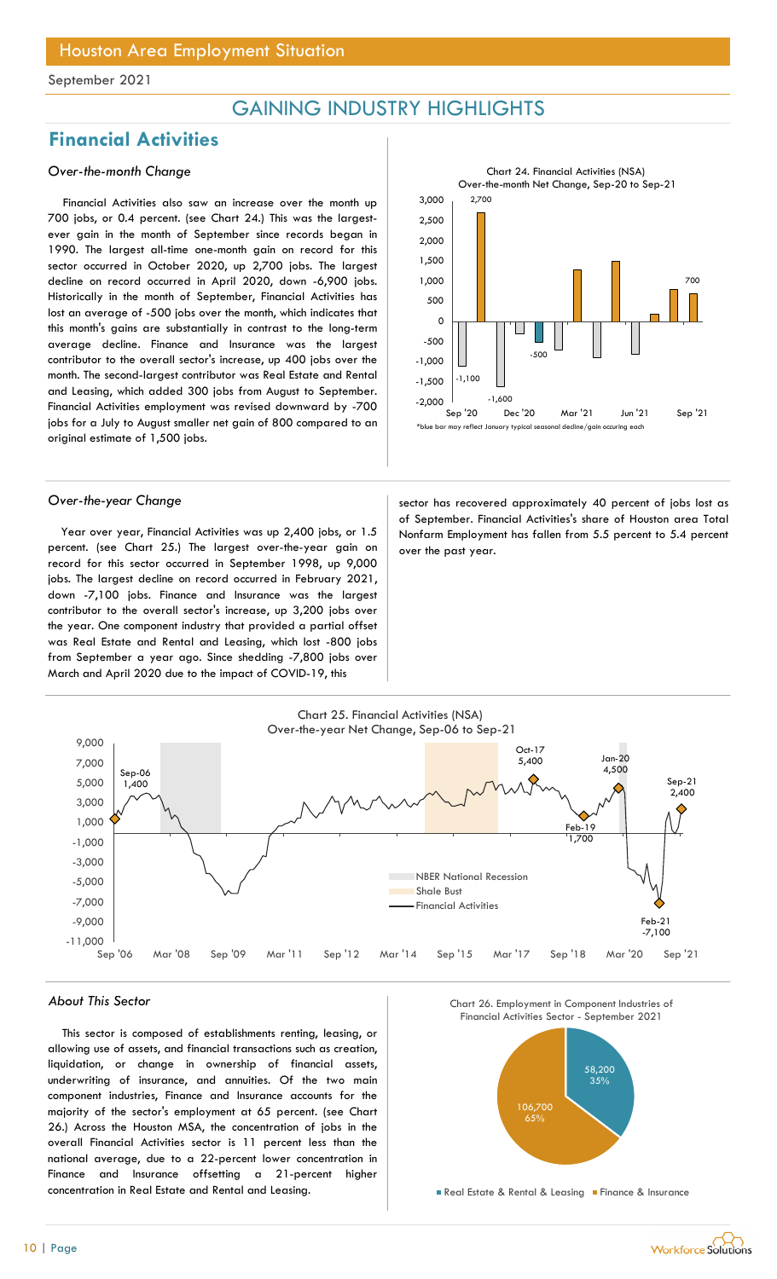## GAINING INDUSTRY HIGHLIGHTS

## Financial Activities

## Over-the-month Change

Financial Activities also saw an increase over the month up 700 jobs, or 0.4 percent. (see Chart 24.) This was the largestever gain in the month of September since records began in 1990. The largest all-time one-month gain on record for this sector occurred in October 2020, up 2,700 jobs. The largest decline on record occurred in April 2020, down -6,900 jobs. Historically in the month of September, Financial Activities has lost an average of -500 jobs over the month, which indicates that this month's gains are substantially in contrast to the long-term average decline. Finance and Insurance was the largest contributor to the overall sector's increase, up 400 jobs over the month. The second-largest contributor was Real Estate and Rental and Leasing, which added 300 jobs from August to September. Financial Activities employment was revised downward by -700 jobs for a July to August smaller net gain of 800 compared to an original estimate of 1,500 jobs.

Year over year, Financial Activities was up 2,400 jobs, or 1.5 percent. (see Chart 25.) The largest over-the-year gain on record for this sector occurred in September 1998, up 9,000 jobs. The largest decline on record occurred in February 2021, down -7,100 jobs. Finance and Insurance was the largest contributor to the overall sector's increase, up 3,200 jobs over the year. One component industry that provided a partial offset was Real Estate and Rental and Leasing, which lost -800 jobs from September a year ago. Since shedding -7,800 jobs over March and April 2020 due to the impact of COVID-19, this



Over-the-year Change sector has recovered approximately 40 percent of jobs lost as of September. Financial Activities's share of Houston area Total Nonfarm Employment has fallen from 5.5 percent to 5.4 percent over the past year.



### About This Sector

This sector is composed of establishments renting, leasing, or allowing use of assets, and financial transactions such as creation, liquidation, or change in ownership of financial assets, underwriting of insurance, and annuities. Of the two main component industries, Finance and Insurance accounts for the majority of the sector's employment at 65 percent. (see Chart 26.) Across the Houston MSA, the concentration of jobs in the overall Financial Activities sector is 11 percent less than the national average, due to a 22-percent lower concentration in Finance and Insurance offsetting a 21-percent higher concentration in Real Estate and Rental and Leasing.

Chart 26. Employment in Component Industries of



**Real Estate & Rental & Leasing Finance & Insurance**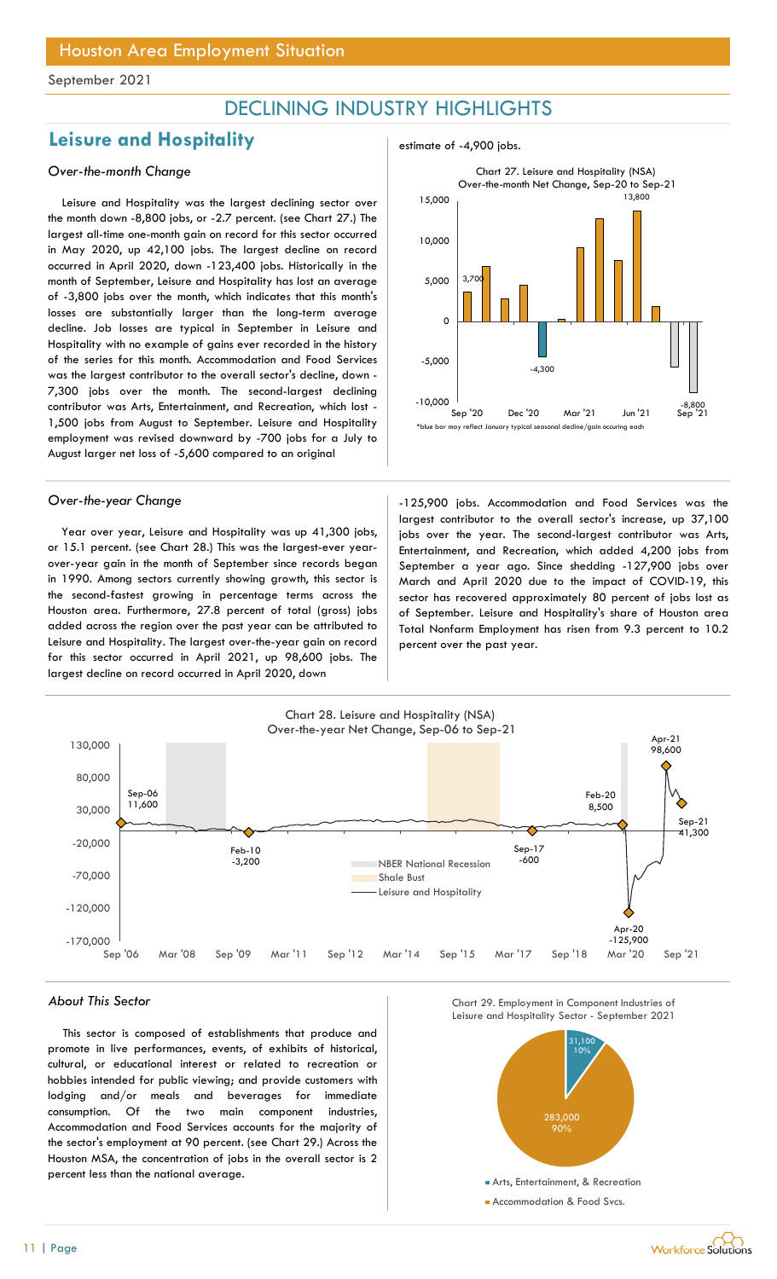## DECLINING INDUSTRY HIGHLIGHTS

## Leisure and Hospitality **Example 2018** Lessimate of -4,900 jobs.

## Over-the-month Change

Leisure and Hospitality was the largest declining sector over the month down -8,800 jobs, or -2.7 percent. (see Chart 27.) The largest all-time one-month gain on record for this sector occurred in May 2020, up 42,100 jobs. The largest decline on record occurred in April 2020, down -123,400 jobs. Historically in the month of September, Leisure and Hospitality has lost an average of -3,800 jobs over the month, which indicates that this month's losses are substantially larger than the long-term average decline. Job losses are typical in September in Leisure and Hospitality with no example of gains ever recorded in the history of the series for this month. Accommodation and Food Services was the largest contributor to the overall sector's decline, down - 7,300 jobs over the month. The second-largest declining contributor was Arts, Entertainment, and Recreation, which lost - 1,500 jobs from August to September. Leisure and Hospitality employment was revised downward by -700 jobs for a July to August larger net loss of -5,600 compared to an original

Year over year, Leisure and Hospitality was up 41,300 jobs, or 15.1 percent. (see Chart 28.) This was the largest-ever yearover-year gain in the month of September since records began in 1990. Among sectors currently showing growth, this sector is the second-fastest growing in percentage terms across the Houston area. Furthermore, 27.8 percent of total (gross) jobs added across the region over the past year can be attributed to Leisure and Hospitality. The largest over-the-year gain on record for this sector occurred in April 2021, up 98,600 jobs. The largest decline on record occurred in April 2020, down



Over-the-year Change and The state of the 125,900 jobs. Accommodation and Food Services was the largest contributor to the overall sector's increase, up 37,100 jobs over the year. The second-largest contributor was Arts, Entertainment, and Recreation, which added 4,200 jobs from September a year ago. Since shedding -127,900 jobs over March and April 2020 due to the impact of COVID-19, this sector has recovered approximately 80 percent of jobs lost as of September. Leisure and Hospitality's share of Houston area Total Nonfarm Employment has risen from 9.3 percent to 10.2 percent over the past year.



This sector is composed of establishments that produce and promote in live performances, events, of exhibits of historical, cultural, or educational interest or related to recreation or hobbies intended for public viewing; and provide customers with lodging and/or meals and beverages for immediate consumption. Of the two main component industries, Accommodation and Food Services accounts for the majority of the sector's employment at 90 percent. (see Chart 29.) Across the Houston MSA, the concentration of jobs in the overall sector is 2 percent less than the national average.



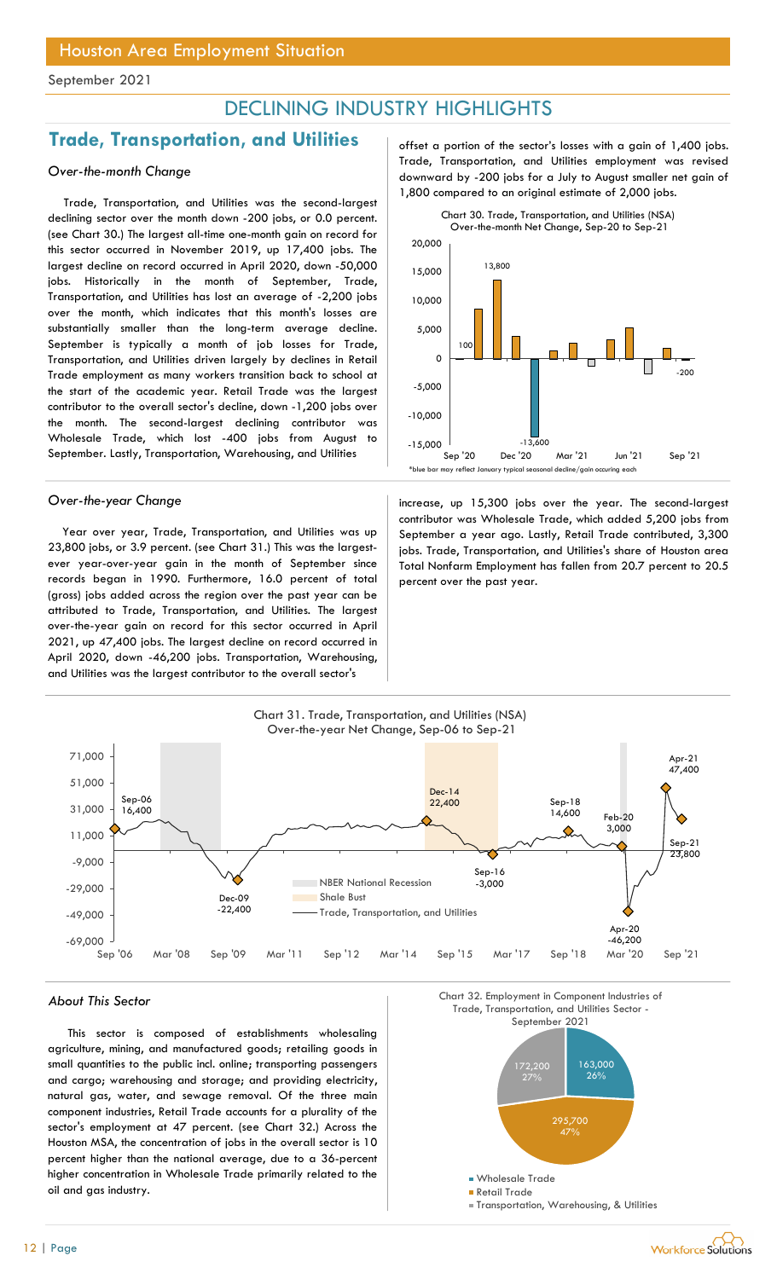## DECLINING INDUSTRY HIGHLIGHTS

## **Trade, Transportation, and Utilities**  $\qquad$  offset a portion of the sector's losses with a gain of 1,400 jobs.

## Over-the-month Change

Trade, Transportation, and Utilities was the second-largest declining sector over the month down -200 jobs, or 0.0 percent. (see Chart 30.) The largest all-time one-month gain on record for this sector occurred in November 2019, up 17,400 jobs. The largest decline on record occurred in April 2020, down -50,000 jobs. Historically in the month of September, Trade, Transportation, and Utilities has lost an average of -2,200 jobs over the month, which indicates that this month's losses are substantially smaller than the long-term average decline. September is typically a month of job losses for Trade, Transportation, and Utilities driven largely by declines in Retail Trade employment as many workers transition back to school at the start of the academic year. Retail Trade was the largest contributor to the overall sector's decline, down -1,200 jobs over the month. The second-largest declining contributor was Wholesale Trade, which lost -400 jobs from August to September. Lastly, Transportation, Warehousing, and Utilities

Year over year, Trade, Transportation, and Utilities was up 23,800 jobs, or 3.9 percent. (see Chart 31.) This was the largestever year-over-year gain in the month of September since records began in 1990. Furthermore, 16.0 percent of total (gross) jobs added across the region over the past year can be attributed to Trade, Transportation, and Utilities. The largest over-the-year gain on record for this sector occurred in April 2021, up 47,400 jobs. The largest decline on record occurred in April 2020, down -46,200 jobs. Transportation, Warehousing, and Utilities was the largest contributor to the overall sector's

Trade, Transportation, and Utilities employment was revised downward by -200 jobs for a July to August smaller net gain of 1,800 compared to an original estimate of 2,000 jobs.



Over-the-year Change increase, up 15,300 jobs over the year. The second-largest contributor was Wholesale Trade, which added 5,200 jobs from September a year ago. Lastly, Retail Trade contributed, 3,300 jobs. Trade, Transportation, and Utilities's share of Houston area Total Nonfarm Employment has fallen from 20.7 percent to 20.5 percent over the past year.



### About This Sector

This sector is composed of establishments wholesaling agriculture, mining, and manufactured goods; retailing goods in small quantities to the public incl. online; transporting passengers and cargo; warehousing and storage; and providing electricity, natural gas, water, and sewage removal. Of the three main component industries, Retail Trade accounts for a plurality of the sector's employment at 47 percent. (see Chart 32.) Across the Houston MSA, the concentration of jobs in the overall sector is 10 percent higher than the national average, due to a 36-percent higher concentration in Wholesale Trade primarily related to the oil and gas industry.

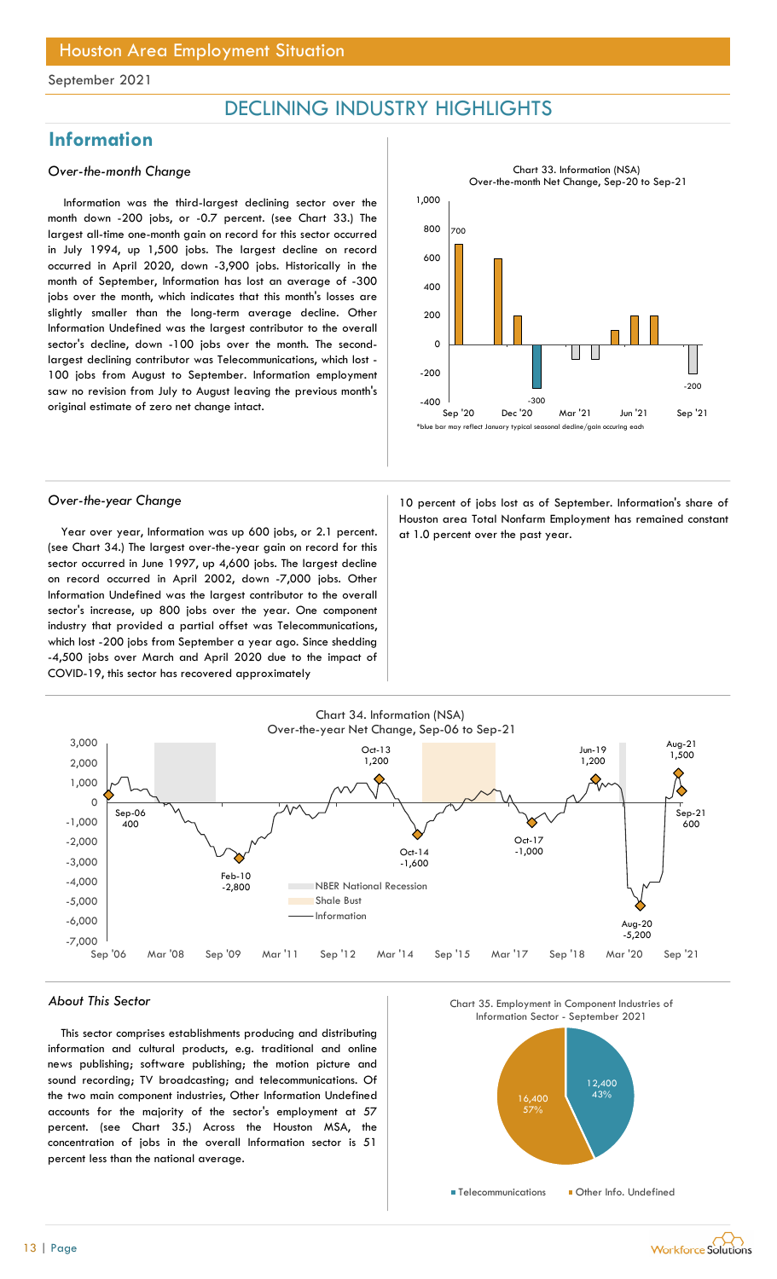## DECLINING INDUSTRY HIGHLIGHTS

## **Information**

### Over-the-month Change

Information was the third-largest declining sector over the month down -200 jobs, or -0.7 percent. (see Chart 33.) The largest all-time one-month gain on record for this sector occurred in July 1994, up 1,500 jobs. The largest decline on record occurred in April 2020, down -3,900 jobs. Historically in the month of September, Information has lost an average of -300 jobs over the month, which indicates that this month's losses are slightly smaller than the long-term average decline. Other Information Undefined was the largest contributor to the overall sector's decline, down -100 jobs over the month. The secondlargest declining contributor was Telecommunications, which lost - 100 jobs from August to September. Information employment saw no revision from July to August leaving the previous month's original estimate of zero net change intact.



Year over year, Information was up 600 jobs, or 2.1 percent.  $\vert$  at 1.0 percent over the past year. (see Chart 34.) The largest over-the-year gain on record for this sector occurred in June 1997, up 4,600 jobs. The largest decline on record occurred in April 2002, down -7,000 jobs. Other Information Undefined was the largest contributor to the overall sector's increase, up 800 jobs over the year. One component industry that provided a partial offset was Telecommunications, which lost -200 jobs from September a year ago. Since shedding -4,500 jobs over March and April 2020 due to the impact of COVID-19, this sector has recovered approximately

Over-the-year Change and the 10 percent of jobs lost as of September. Information's share of Houston area Total Nonfarm Employment has remained constant



#### About This Sector

This sector comprises establishments producing and distributing information and cultural products, e.g. traditional and online news publishing; software publishing; the motion picture and sound recording; TV broadcasting; and telecommunications. Of the two main component industries, Other Information Undefined accounts for the majority of the sector's employment at 57 percent. (see Chart 35.) Across the Houston MSA, the concentration of jobs in the overall Information sector is 51 percent less than the national average.





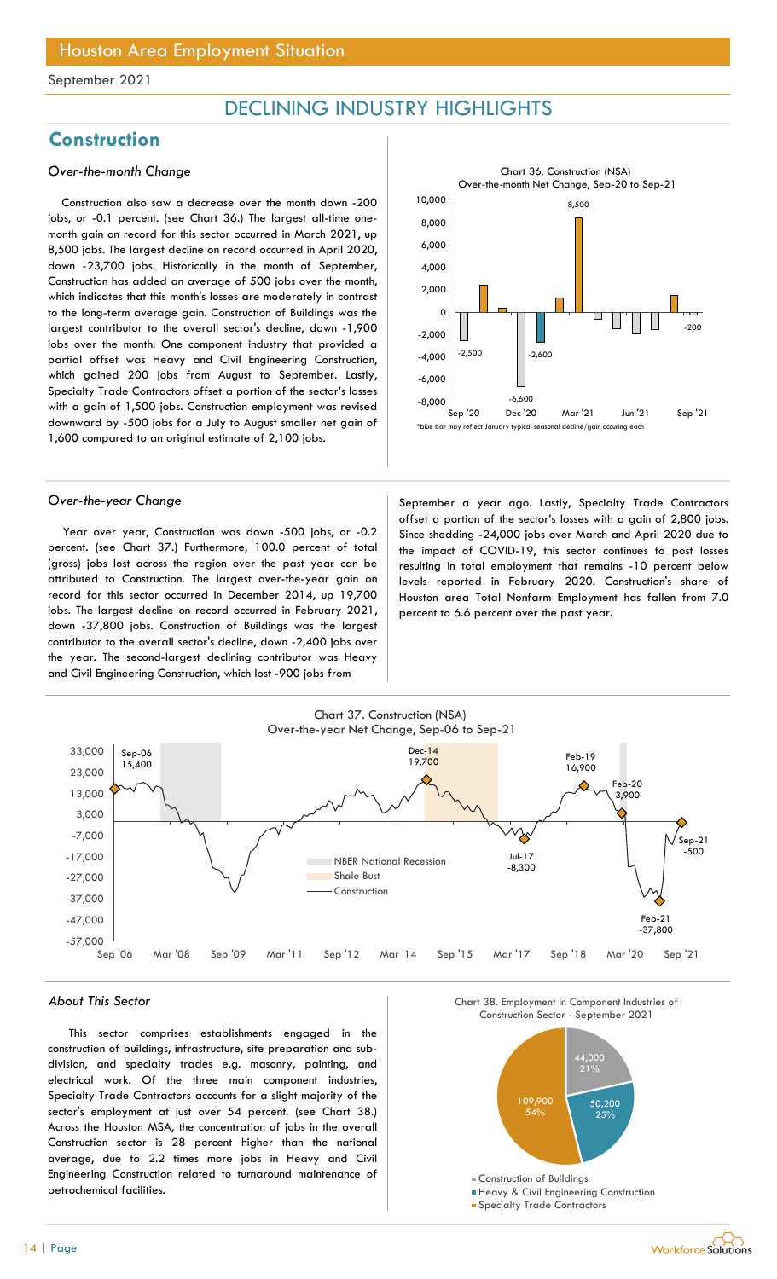## DECLINING INDUSTRY HIGHLIGHTS

## **Construction**

### Over-the-month Change

Construction also saw a decrease over the month down -200 jobs, or -0.1 percent. (see Chart 36.) The largest all-time onemonth gain on record for this sector occurred in March 2021, up 8,500 jobs. The largest decline on record occurred in April 2020, down -23,700 jobs. Historically in the month of September, Construction has added an average of 500 jobs over the month, which indicates that this month's losses are moderately in contrast to the long-term average gain. Construction of Buildings was the largest contributor to the overall sector's decline, down -1,900 jobs over the month. One component industry that provided a partial offset was Heavy and Civil Engineering Construction, which gained 200 jobs from August to September. Lastly, Specialty Trade Contractors offset a portion of the sector's losses with a gain of 1,500 jobs. Construction employment was revised downward by -500 jobs for a July to August smaller net gain of 1,600 compared to an original estimate of 2,100 jobs.

Year over year, Construction was down -500 jobs, or -0.2 percent. (see Chart 37.) Furthermore, 100.0 percent of total (gross) jobs lost across the region over the past year can be attributed to Construction. The largest over-the-year gain on record for this sector occurred in December 2014, up 19,700 jobs. The largest decline on record occurred in February 2021, down -37,800 jobs. Construction of Buildings was the largest contributor to the overall sector's decline, down -2,400 jobs over the year. The second-largest declining contributor was Heavy and Civil Engineering Construction, which lost -900 jobs from



Over-the-year Change September a year ago. Lastly, Specialty Trade Contractors offset a portion of the sector's losses with a gain of 2,800 jobs. Since shedding -24,000 jobs over March and April 2020 due to the impact of COVID-19, this sector continues to post losses resulting in total employment that remains -10 percent below levels reported in February 2020. Construction's share of Houston area Total Nonfarm Employment has fallen from 7.0 percent to 6.6 percent over the past year.



### About This Sector

This sector comprises establishments engaged in the construction of buildings, infrastructure, site preparation and subdivision, and specialty trades e.g. masonry, painting, and electrical work. Of the three main component industries, Specialty Trade Contractors accounts for a slight majority of the sector's employment at just over 54 percent. (see Chart 38.) Across the Houston MSA, the concentration of jobs in the overall Construction sector is 28 percent higher than the national average, due to 2.2 times more jobs in Heavy and Civil Engineering Construction related to turnaround maintenance of petrochemical facilities.





- 
- **Specialty Trade Contractors**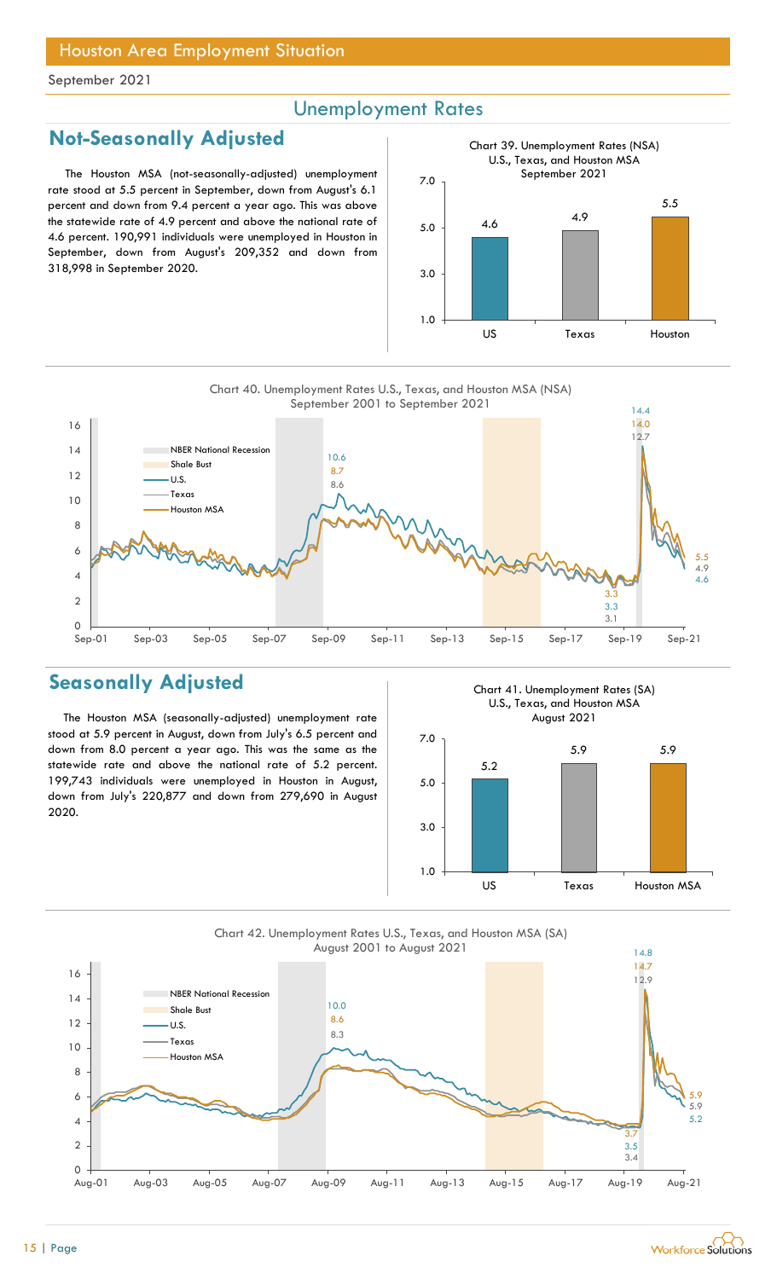## Unemployment Rates

## Not-Seasonally Adjusted

The Houston MSA (not-seasonally-adjusted) unemployment rate stood at 5.5 percent in September, down from August's 6.1 percent and down from 9.4 percent a year ago. This was above the statewide rate of 4.9 percent and above the national rate of 4.6 percent. 190,991 individuals were unemployed in Houston in September, down from August's 209,352 and down from 318,998 in September 2020.





## Seasonally Adjusted

The Houston MSA (seasonally-adjusted) unemployment rate stood at 5.9 percent in August, down from July's 6.5 percent and down from 8.0 percent a year ago. This was the same as the statewide rate and above the national rate of 5.2 percent. 199,743 individuals were unemployed in Houston in August, down from July's 220,877 and down from 279,690 in August 2020.

Chart 41. Unemployment Rates (SA) U.S., Texas, and Houston MSA